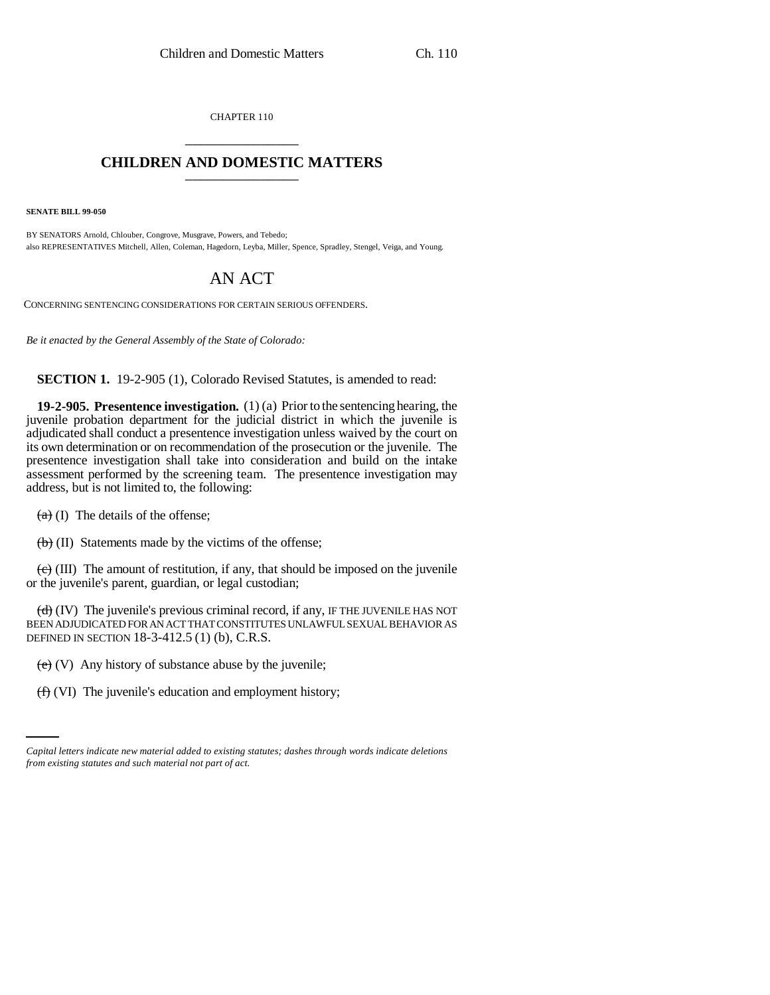CHAPTER 110 \_\_\_\_\_\_\_\_\_\_\_\_\_\_\_

## **CHILDREN AND DOMESTIC MATTERS** \_\_\_\_\_\_\_\_\_\_\_\_\_\_\_

**SENATE BILL 99-050**

BY SENATORS Arnold, Chlouber, Congrove, Musgrave, Powers, and Tebedo; also REPRESENTATIVES Mitchell, Allen, Coleman, Hagedorn, Leyba, Miller, Spence, Spradley, Stengel, Veiga, and Young.

## AN ACT

CONCERNING SENTENCING CONSIDERATIONS FOR CERTAIN SERIOUS OFFENDERS.

*Be it enacted by the General Assembly of the State of Colorado:*

**SECTION 1.** 19-2-905 (1), Colorado Revised Statutes, is amended to read:

**19-2-905. Presentence investigation.** (1) (a) Prior to the sentencing hearing, the juvenile probation department for the judicial district in which the juvenile is adjudicated shall conduct a presentence investigation unless waived by the court on its own determination or on recommendation of the prosecution or the juvenile. The presentence investigation shall take into consideration and build on the intake assessment performed by the screening team. The presentence investigation may address, but is not limited to, the following:

 $(a)$  (I) The details of the offense;

 $\left(\frac{b}{b}\right)$  (II) Statements made by the victims of the offense;

 $\overline{(e)}$  (III) The amount of restitution, if any, that should be imposed on the juvenile or the juvenile's parent, guardian, or legal custodian;

 $(d)$  (IV) The juvenile's previous criminal record, if any, IF THE JUVENILE HAS NOT BEEN ADJUDICATED FOR AN ACT THAT CONSTITUTES UNLAWFUL SEXUAL BEHAVIOR AS DEFINED IN SECTION 18-3-412.5 (1) (b), C.R.S.

 $(e)$  (V) Any history of substance abuse by the juvenile;

(f) (VI) The juvenile's education and employment history;

*Capital letters indicate new material added to existing statutes; dashes through words indicate deletions from existing statutes and such material not part of act.*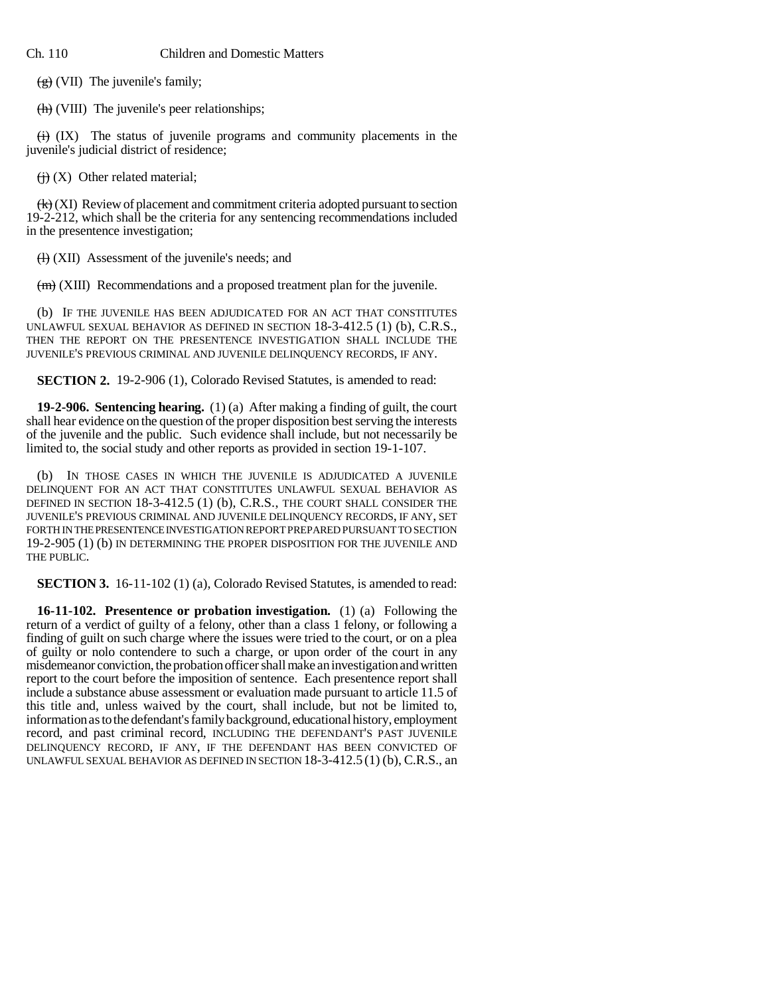## Ch. 110 Children and Domestic Matters

 $(g)$  (VII) The juvenile's family;

(h) (VIII) The juvenile's peer relationships;

 $\overleftrightarrow{H}$  (IX) The status of juvenile programs and community placements in the juvenile's judicial district of residence;

 $\left(\frac{1}{1}\right)$  (X) Other related material;

 $\left(\frac{1}{k}\right)$  (XI) Review of placement and commitment criteria adopted pursuant to section 19-2-212, which shall be the criteria for any sentencing recommendations included in the presentence investigation;

 $(H)$  (XII) Assessment of the juvenile's needs; and

 $(m)$  (XIII) Recommendations and a proposed treatment plan for the juvenile.

(b) IF THE JUVENILE HAS BEEN ADJUDICATED FOR AN ACT THAT CONSTITUTES UNLAWFUL SEXUAL BEHAVIOR AS DEFINED IN SECTION 18-3-412.5 (1) (b), C.R.S., THEN THE REPORT ON THE PRESENTENCE INVESTIGATION SHALL INCLUDE THE JUVENILE'S PREVIOUS CRIMINAL AND JUVENILE DELINQUENCY RECORDS, IF ANY.

**SECTION 2.** 19-2-906 (1), Colorado Revised Statutes, is amended to read:

**19-2-906. Sentencing hearing.** (1) (a) After making a finding of guilt, the court shall hear evidence on the question of the proper disposition best serving the interests of the juvenile and the public. Such evidence shall include, but not necessarily be limited to, the social study and other reports as provided in section 19-1-107.

(b) IN THOSE CASES IN WHICH THE JUVENILE IS ADJUDICATED A JUVENILE DELINQUENT FOR AN ACT THAT CONSTITUTES UNLAWFUL SEXUAL BEHAVIOR AS DEFINED IN SECTION 18-3-412.5 (1) (b), C.R.S., THE COURT SHALL CONSIDER THE JUVENILE'S PREVIOUS CRIMINAL AND JUVENILE DELINQUENCY RECORDS, IF ANY, SET FORTH IN THE PRESENTENCE INVESTIGATION REPORT PREPARED PURSUANT TO SECTION 19-2-905 (1) (b) IN DETERMINING THE PROPER DISPOSITION FOR THE JUVENILE AND THE PUBLIC.

**SECTION 3.** 16-11-102 (1) (a), Colorado Revised Statutes, is amended to read:

**16-11-102. Presentence or probation investigation.** (1) (a) Following the return of a verdict of guilty of a felony, other than a class 1 felony, or following a finding of guilt on such charge where the issues were tried to the court, or on a plea of guilty or nolo contendere to such a charge, or upon order of the court in any misdemeanor conviction, the probation officer shall make an investigation and written report to the court before the imposition of sentence. Each presentence report shall include a substance abuse assessment or evaluation made pursuant to article 11.5 of this title and, unless waived by the court, shall include, but not be limited to, information as to the defendant's family background, educational history, employment record, and past criminal record, INCLUDING THE DEFENDANT'S PAST JUVENILE DELINQUENCY RECORD, IF ANY, IF THE DEFENDANT HAS BEEN CONVICTED OF UNLAWFUL SEXUAL BEHAVIOR AS DEFINED IN SECTION 18-3-412.5 (1) (b), C.R.S., an